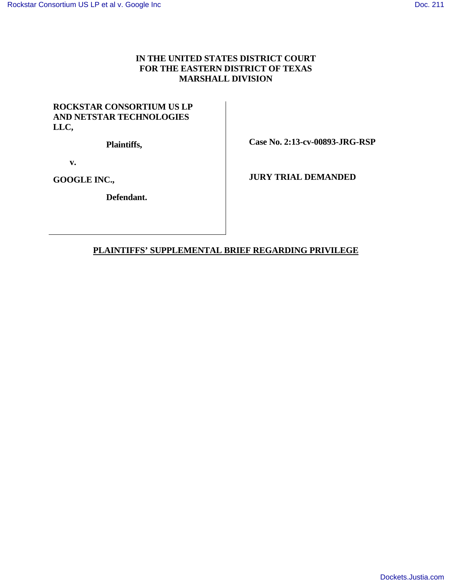# **IN THE UNITED STATES DISTRICT COURT FOR THE EASTERN DISTRICT OF TEXAS MARSHALL DIVISION**

## **ROCKSTAR CONSORTIUM US LP AND NETSTAR TECHNOLOGIES LLC,**

 **Plaintiffs,** 

 **Case No. 2:13-cv-00893-JRG-RSP** 

 **v.** 

**GOOGLE INC.,** 

 **Defendant.** 

 **JURY TRIAL DEMANDED** 

# **PLAINTIFFS' SUPPLEMENTAL BRIEF REGARDING PRIVILEGE**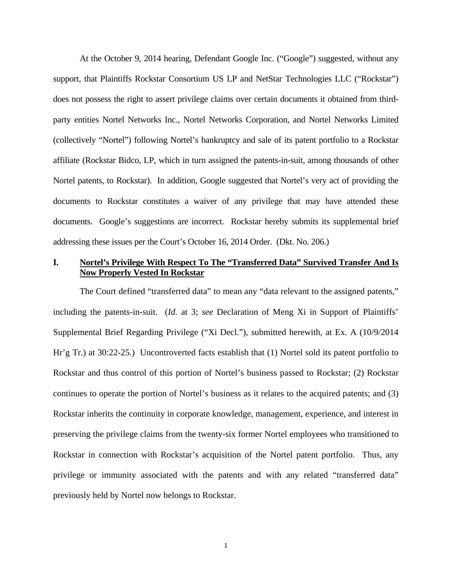At the October 9, 2014 hearing, Defendant Google Inc. ("Google") suggested, without any support, that Plaintiffs Rockstar Consortium US LP and NetStar Technologies LLC ("Rockstar") does not possess the right to assert privilege claims over certain documents it obtained from thirdparty entities Nortel Networks Inc., Nortel Networks Corporation, and Nortel Networks Limited (collectively "Nortel") following Nortel's bankruptcy and sale of its patent portfolio to a Rockstar affiliate (Rockstar Bidco, LP, which in turn assigned the patents-in-suit, among thousands of other Nortel patents, to Rockstar). In addition, Google suggested that Nortel's very act of providing the documents to Rockstar constitutes a waiver of any privilege that may have attended these documents. Google's suggestions are incorrect. Rockstar hereby submits its supplemental brief addressing these issues per the Court's October 16, 2014 Order. (Dkt. No. 206.)

#### **I. Nortel's Privilege With Respect To The "Transferred Data" Survived Transfer And Is Now Properly Vested In Rockstar**

The Court defined "transferred data" to mean any "data relevant to the assigned patents," including the patents-in-suit. (*Id.* at 3; *see* Declaration of Meng Xi in Support of Plaintiffs' Supplemental Brief Regarding Privilege ("Xi Decl."), submitted herewith, at Ex. A (10/9/2014 Hr'g Tr.) at 30:22-25.) Uncontroverted facts establish that (1) Nortel sold its patent portfolio to Rockstar and thus control of this portion of Nortel's business passed to Rockstar; (2) Rockstar continues to operate the portion of Nortel's business as it relates to the acquired patents; and (3) Rockstar inherits the continuity in corporate knowledge, management, experience, and interest in preserving the privilege claims from the twenty-six former Nortel employees who transitioned to Rockstar in connection with Rockstar's acquisition of the Nortel patent portfolio. Thus, any privilege or immunity associated with the patents and with any related "transferred data" previously held by Nortel now belongs to Rockstar.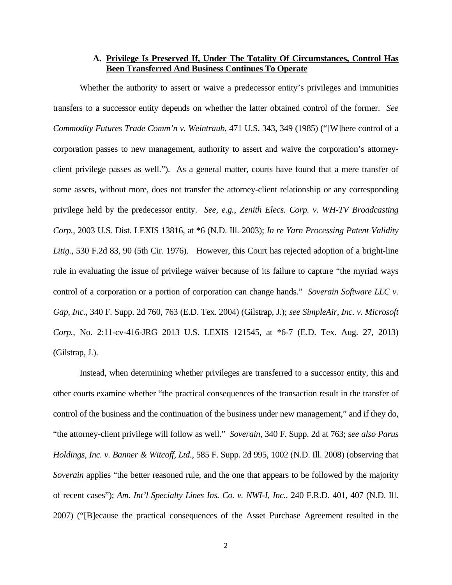#### **A. Privilege Is Preserved If, Under The Totality Of Circumstances, Control Has Been Transferred And Business Continues To Operate**

Whether the authority to assert or waive a predecessor entity's privileges and immunities transfers to a successor entity depends on whether the latter obtained control of the former. *See Commodity Futures Trade Comm'n v. Weintraub*, 471 U.S. 343, 349 (1985) ("[W]here control of a corporation passes to new management, authority to assert and waive the corporation's attorneyclient privilege passes as well."). As a general matter, courts have found that a mere transfer of some assets, without more, does not transfer the attorney-client relationship or any corresponding privilege held by the predecessor entity. *See, e.g.*, *Zenith Elecs. Corp. v. WH-TV Broadcasting Corp.*, 2003 U.S. Dist. LEXIS 13816, at \*6 (N.D. Ill. 2003); *In re Yarn Processing Patent Validity*  Litig., 530 F.2d 83, 90 (5th Cir. 1976). However, this Court has rejected adoption of a bright-line rule in evaluating the issue of privilege waiver because of its failure to capture "the myriad ways control of a corporation or a portion of corporation can change hands." *Soverain Software LLC v. Gap, Inc.*, 340 F. Supp. 2d 760, 763 (E.D. Tex. 2004) (Gilstrap, J.); *see SimpleAir, Inc. v. Microsoft Corp.*, No. 2:11-cv-416-JRG 2013 U.S. LEXIS 121545, at \*6-7 (E.D. Tex. Aug. 27, 2013) (Gilstrap, J.).

Instead, when determining whether privileges are transferred to a successor entity, this and other courts examine whether "the practical consequences of the transaction result in the transfer of control of the business and the continuation of the business under new management," and if they do, "the attorney-client privilege will follow as well." *Soverain*, 340 F. Supp. 2d at 763; s*ee also Parus Holdings, Inc. v. Banner & Witcoff, Ltd.*, 585 F. Supp. 2d 995, 1002 (N.D. Ill. 2008) (observing that *Soverain* applies "the better reasoned rule, and the one that appears to be followed by the majority of recent cases"); *Am. Int'l Specialty Lines Ins. Co. v. NWI-I, Inc.*, 240 F.R.D. 401, 407 (N.D. Ill. 2007) ("[B]ecause the practical consequences of the Asset Purchase Agreement resulted in the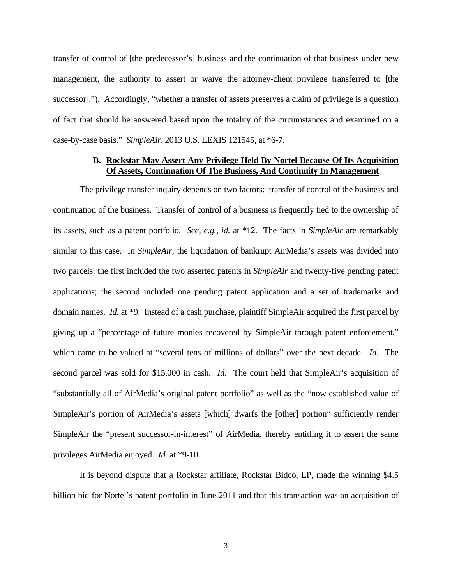transfer of control of [the predecessor's] business and the continuation of that business under new management, the authority to assert or waive the attorney-client privilege transferred to [the successor]."). Accordingly, "whether a transfer of assets preserves a claim of privilege is a question of fact that should be answered based upon the totality of the circumstances and examined on a case-by-case basis." *SimpleAir*, 2013 U.S. LEXIS 121545, at \*6-7.

#### **B. Rockstar May Assert Any Privilege Held By Nortel Because Of Its Acquisition Of Assets, Continuation Of The Business, And Continuity In Management**

The privilege transfer inquiry depends on two factors: transfer of control of the business and continuation of the business. Transfer of control of a business is frequently tied to the ownership of its assets, such as a patent portfolio. *See, e.g., id.* at \*12. The facts in *SimpleAir* are remarkably similar to this case. In *SimpleAir*, the liquidation of bankrupt AirMedia's assets was divided into two parcels: the first included the two asserted patents in *SimpleAir* and twenty-five pending patent applications; the second included one pending patent application and a set of trademarks and domain names. *Id.* at \*9. Instead of a cash purchase, plaintiff SimpleAir acquired the first parcel by giving up a "percentage of future monies recovered by SimpleAir through patent enforcement," which came to be valued at "several tens of millions of dollars" over the next decade. *Id.* The second parcel was sold for \$15,000 in cash. *Id.* The court held that SimpleAir's acquisition of "substantially all of AirMedia's original patent portfolio" as well as the "now established value of SimpleAir's portion of AirMedia's assets [which] dwarfs the [other] portion" sufficiently render SimpleAir the "present successor-in-interest" of AirMedia, thereby entitling it to assert the same privileges AirMedia enjoyed. *Id.* at \*9-10.

It is beyond dispute that a Rockstar affiliate, Rockstar Bidco, LP, made the winning \$4.5 billion bid for Nortel's patent portfolio in June 2011 and that this transaction was an acquisition of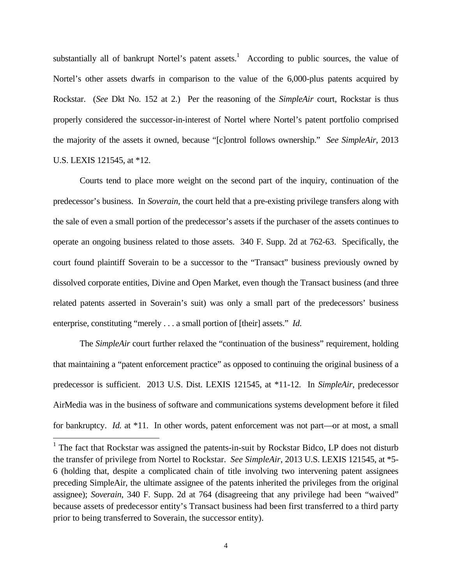substantially all of bankrupt Nortel's patent assets.<sup>1</sup> According to public sources, the value of Nortel's other assets dwarfs in comparison to the value of the 6,000-plus patents acquired by Rockstar. (*See* Dkt No. 152 at 2.) Per the reasoning of the *SimpleAir* court, Rockstar is thus properly considered the successor-in-interest of Nortel where Nortel's patent portfolio comprised the majority of the assets it owned, because "[c]ontrol follows ownership." *See SimpleAir*, 2013 U.S. LEXIS 121545, at \*12.

Courts tend to place more weight on the second part of the inquiry, continuation of the predecessor's business. In *Soverain*, the court held that a pre-existing privilege transfers along with the sale of even a small portion of the predecessor's assets if the purchaser of the assets continues to operate an ongoing business related to those assets. 340 F. Supp. 2d at 762-63. Specifically, the court found plaintiff Soverain to be a successor to the "Transact" business previously owned by dissolved corporate entities, Divine and Open Market, even though the Transact business (and three related patents asserted in Soverain's suit) was only a small part of the predecessors' business enterprise, constituting "merely . . . a small portion of [their] assets." *Id.* 

The *SimpleAir* court further relaxed the "continuation of the business" requirement, holding that maintaining a "patent enforcement practice" as opposed to continuing the original business of a predecessor is sufficient. 2013 U.S. Dist. LEXIS 121545, at \*11-12. In *SimpleAir*, predecessor AirMedia was in the business of software and communications systems development before it filed for bankruptcy. *Id.* at \*11. In other words, patent enforcement was not part—or at most, a small

<u>.</u>

<sup>&</sup>lt;sup>1</sup> The fact that Rockstar was assigned the patents-in-suit by Rockstar Bidco, LP does not disturb the transfer of privilege from Nortel to Rockstar. *See SimpleAir*, 2013 U.S. LEXIS 121545, at \*5- 6 (holding that, despite a complicated chain of title involving two intervening patent assignees preceding SimpleAir, the ultimate assignee of the patents inherited the privileges from the original assignee); *Soverain*, 340 F. Supp. 2d at 764 (disagreeing that any privilege had been "waived" because assets of predecessor entity's Transact business had been first transferred to a third party prior to being transferred to Soverain, the successor entity).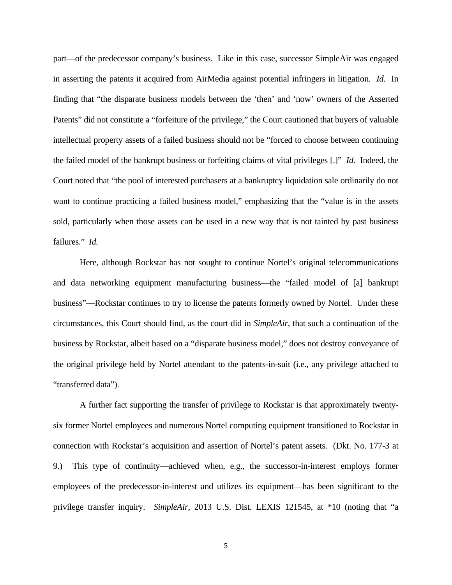part—of the predecessor company's business. Like in this case, successor SimpleAir was engaged in asserting the patents it acquired from AirMedia against potential infringers in litigation. *Id.* In finding that "the disparate business models between the 'then' and 'now' owners of the Asserted Patents" did not constitute a "forfeiture of the privilege," the Court cautioned that buyers of valuable intellectual property assets of a failed business should not be "forced to choose between continuing the failed model of the bankrupt business or forfeiting claims of vital privileges [.]" *Id.* Indeed, the Court noted that "the pool of interested purchasers at a bankruptcy liquidation sale ordinarily do not want to continue practicing a failed business model," emphasizing that the "value is in the assets sold, particularly when those assets can be used in a new way that is not tainted by past business failures." *Id.* 

Here, although Rockstar has not sought to continue Nortel's original telecommunications and data networking equipment manufacturing business—the "failed model of [a] bankrupt business"—Rockstar continues to try to license the patents formerly owned by Nortel. Under these circumstances, this Court should find, as the court did in *SimpleAir*, that such a continuation of the business by Rockstar, albeit based on a "disparate business model," does not destroy conveyance of the original privilege held by Nortel attendant to the patents-in-suit (i.e., any privilege attached to "transferred data").

A further fact supporting the transfer of privilege to Rockstar is that approximately twentysix former Nortel employees and numerous Nortel computing equipment transitioned to Rockstar in connection with Rockstar's acquisition and assertion of Nortel's patent assets. (Dkt. No. 177-3 at 9.) This type of continuity—achieved when, e.g., the successor-in-interest employs former employees of the predecessor-in-interest and utilizes its equipment—has been significant to the privilege transfer inquiry. *SimpleAir*, 2013 U.S. Dist. LEXIS 121545, at \*10 (noting that "a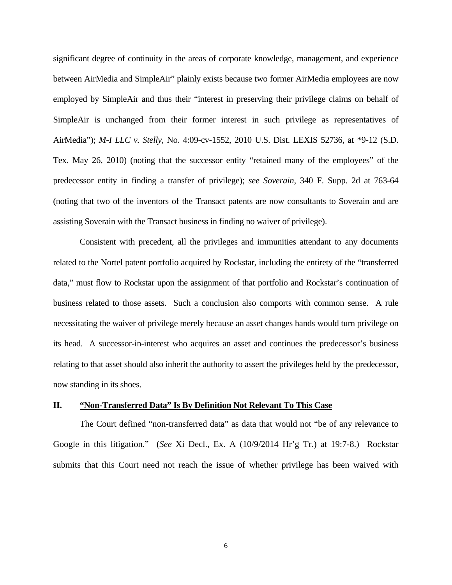significant degree of continuity in the areas of corporate knowledge, management, and experience between AirMedia and SimpleAir" plainly exists because two former AirMedia employees are now employed by SimpleAir and thus their "interest in preserving their privilege claims on behalf of SimpleAir is unchanged from their former interest in such privilege as representatives of AirMedia"); *M-I LLC v. Stelly*, No. 4:09-cv-1552, 2010 U.S. Dist. LEXIS 52736, at \*9-12 (S.D. Tex. May 26, 2010) (noting that the successor entity "retained many of the employees" of the predecessor entity in finding a transfer of privilege); *see Soverain*, 340 F. Supp. 2d at 763-64 (noting that two of the inventors of the Transact patents are now consultants to Soverain and are assisting Soverain with the Transact business in finding no waiver of privilege).

Consistent with precedent, all the privileges and immunities attendant to any documents related to the Nortel patent portfolio acquired by Rockstar, including the entirety of the "transferred data," must flow to Rockstar upon the assignment of that portfolio and Rockstar's continuation of business related to those assets. Such a conclusion also comports with common sense. A rule necessitating the waiver of privilege merely because an asset changes hands would turn privilege on its head. A successor-in-interest who acquires an asset and continues the predecessor's business relating to that asset should also inherit the authority to assert the privileges held by the predecessor, now standing in its shoes.

#### **II. "Non-Transferred Data" Is By Definition Not Relevant To This Case**

The Court defined "non-transferred data" as data that would not "be of any relevance to Google in this litigation." (*See* Xi Decl., Ex. A (10/9/2014 Hr'g Tr.) at 19:7-8.) Rockstar submits that this Court need not reach the issue of whether privilege has been waived with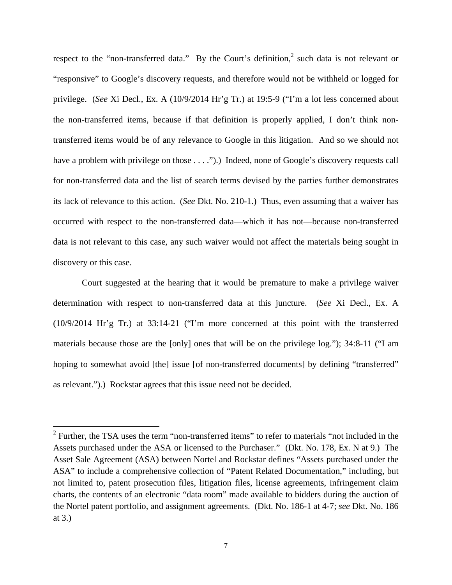respect to the "non-transferred data." By the Court's definition,<sup>2</sup> such data is not relevant or "responsive" to Google's discovery requests, and therefore would not be withheld or logged for privilege. (*See* Xi Decl., Ex. A (10/9/2014 Hr'g Tr.) at 19:5-9 ("I'm a lot less concerned about the non-transferred items, because if that definition is properly applied, I don't think nontransferred items would be of any relevance to Google in this litigation. And so we should not have a problem with privilege on those . . . .").) Indeed, none of Google's discovery requests call for non-transferred data and the list of search terms devised by the parties further demonstrates its lack of relevance to this action. (*See* Dkt. No. 210-1.) Thus, even assuming that a waiver has occurred with respect to the non-transferred data—which it has not—because non-transferred data is not relevant to this case, any such waiver would not affect the materials being sought in discovery or this case.

 Court suggested at the hearing that it would be premature to make a privilege waiver determination with respect to non-transferred data at this juncture. (*See* Xi Decl., Ex. A (10/9/2014 Hr'g Tr.) at 33:14-21 ("I'm more concerned at this point with the transferred materials because those are the [only] ones that will be on the privilege log."); 34:8-11 ("I am hoping to somewhat avoid [the] issue [of non-transferred documents] by defining "transferred" as relevant.").) Rockstar agrees that this issue need not be decided.

1

 $2$  Further, the TSA uses the term "non-transferred items" to refer to materials "not included in the Assets purchased under the ASA or licensed to the Purchaser." (Dkt. No. 178, Ex. N at 9.) The Asset Sale Agreement (ASA) between Nortel and Rockstar defines "Assets purchased under the ASA" to include a comprehensive collection of "Patent Related Documentation," including, but not limited to, patent prosecution files, litigation files, license agreements, infringement claim charts, the contents of an electronic "data room" made available to bidders during the auction of the Nortel patent portfolio, and assignment agreements. (Dkt. No. 186-1 at 4-7; *see* Dkt. No. 186 at 3.)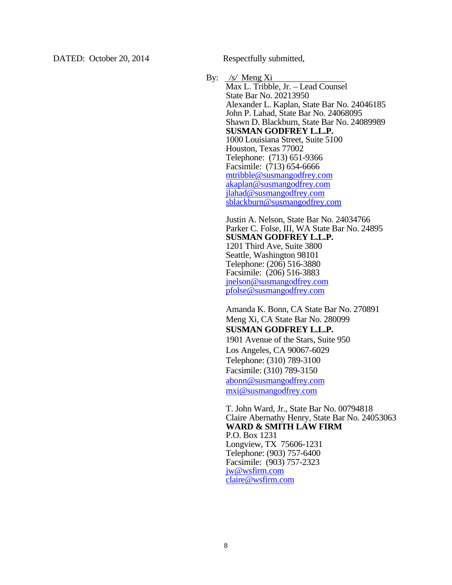By: */s/* Meng Xi Max L. Tribble, Jr. – Lead Counsel State Bar No. 20213950 Alexander L. Kaplan, State Bar No. 24046185 John P. Lahad, State Bar No. 24068095 Shawn D. Blackburn, State Bar No. 24089989 **SUSMAN GODFREY L.L.P.**  1000 Louisiana Street, Suite 5100 Houston, Texas 77002 Telephone: (713) 651-9366 Facsimile: (713) 654-6666 mtribble@susmangodfrey.com akaplan@susmangodfrey.com jlahad@susmangodfrey.com sblackburn@susmangodfrey.com

> Justin A. Nelson, State Bar No. 24034766 Parker C. Folse, III, WA State Bar No. 24895 **SUSMAN GODFREY L.L.P.**  1201 Third Ave, Suite 3800 Seattle, Washington 98101 Telephone: (206) 516-3880 Facsimile: (206) 516-3883 jnelson@susmangodfrey.com pfolse@susmangodfrey.com

Amanda K. Bonn, CA State Bar No. 270891 Meng Xi, CA State Bar No. 280099 **SUSMAN GODFREY L.L.P.**  1901 Avenue of the Stars, Suite 950 Los Angeles, CA 90067-6029 Telephone: (310) 789-3100 Facsimile: (310) 789-3150 abonn@susmangodfrey.com mxi@susmangodfrey.com

T. John Ward, Jr., State Bar No. 00794818 Claire Abernathy Henry, State Bar No. 24053063 **WARD & SMITH LAW FIRM**  P.O. Box 1231 Longview, TX 75606-1231 Telephone: (903) 757-6400 Facsimile: (903) 757-2323 jw@wsfirm.com claire@wsfirm.com